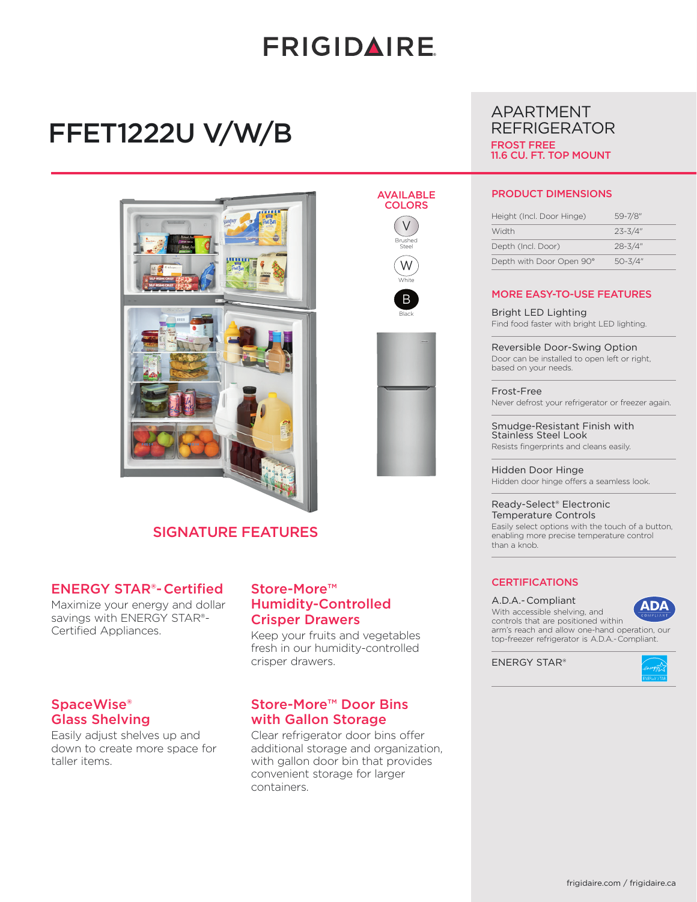# **FRIGIDAIRE**

AVAILABLE **COLORS** V Brushed Steel W **White** B Black

# FFET1222U V/W/B





ENERGY STAR®- Certified

Maximize your energy and dollar savings with ENERGY STAR®-  Certified Appliances.

### SpaceWise® Glass Shelving

Easily adjust shelves up and down to create more space for taller items.

### Store-More™ Humidity-Controlled Crisper Drawers

Keep your fruits and vegetables fresh in our humidity-controlled crisper drawers.

## Store-More™ Door Bins with Gallon Storage

Clear refrigerator door bins offer additional storage and organization, with gallon door bin that provides convenient storage for larger containers.

## APARTMENT REFRIGERATOR FROST FREE 11.6 CU. FT. TOP MOUNT

#### PRODUCT DIMENSIONS

| Height (Incl. Door Hinge) | 59-7/8"     |
|---------------------------|-------------|
| Width                     | $23 - 3/4"$ |
| Depth (Incl. Door)        | $28 - 3/4"$ |
| Depth with Door Open 90°  | $50 - 3/4"$ |

#### MORE EASY-TO-USE FEATURES

Bright LED Lighting Find food faster with bright LED lighting.

Reversible Door-Swing Option Door can be installed to open left or right,

Frost-Free Never defrost your refrigerator or freezer again.

Smudge-Resistant Finish with Stainless Steel Look Resists fingerprints and cleans easily.

Hidden Door Hinge Hidden door hinge offers a seamless look.

Ready-Select® Electronic Temperature Controls Easily select options with the touch of a button, enabling more precise temperature control than a knob.

#### **CERTIFICATIONS**

A.D.A.- Compliant

**ADA** 

With accessible shelving, and controls that are positioned within arm's reach and allow one-hand operation, our top-freezer refrigerator is A.D.A.- Compliant.

ENERGY STAR®





based on your needs.

frigidaire.com / frigidaire.ca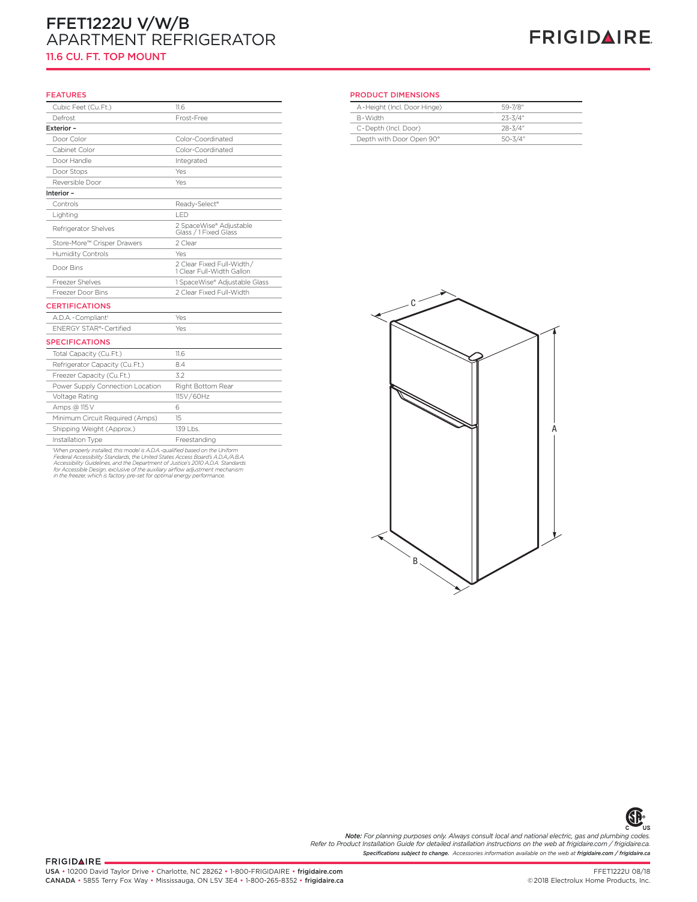## FFET1222U V/W/B APARTMENT REFRIGERATOR 11.6 CU. FT. TOP MOUNT

# **FRIGIDAIRE**

#### FEATURES

| FEAIURES                         |                                                        | PRO   |
|----------------------------------|--------------------------------------------------------|-------|
| Cubic Feet (Cu.Ft.)              | 11.6                                                   | $A -$ |
| Defrost                          | Frost-Free                                             | $B -$ |
| Exterior -                       |                                                        | $C -$ |
| Door Color                       | Color-Coordinated                                      | De    |
| Cabinet Color                    | Color-Coordinated                                      |       |
| Door Handle                      | Integrated                                             |       |
| Door Stops                       | Yes                                                    |       |
| Reversible Door                  | Yes                                                    |       |
| Interior-                        |                                                        |       |
| Controls                         | Ready-Select®                                          |       |
| Lighting                         | LED                                                    |       |
| Refrigerator Shelves             | 2 SpaceWise® Adjustable<br>Glass / 1 Fixed Glass       |       |
| Store-More™ Crisper Drawers      | 2 Clear                                                |       |
| Humidity Controls                | Yes                                                    |       |
| Door Bins                        | 2 Clear Fixed Full-Width/<br>1 Clear Full-Width Gallon |       |
| Freezer Shelves                  | 1 SpaceWise® Adjustable Glass                          |       |
| Freezer Door Bins                | 2 Clear Fixed Full-Width                               |       |
| <b>CERTIFICATIONS</b>            |                                                        |       |
| A.D.A. - Compliant <sup>1</sup>  | Yes                                                    |       |
| <b>ENERGY STAR®-Certified</b>    | Yes                                                    |       |
| <b>SPECIFICATIONS</b>            |                                                        |       |
| Total Capacity (Cu.Ft.)          | 11.6                                                   |       |
| Refrigerator Capacity (Cu.Ft.)   | 8.4                                                    |       |
| Freezer Capacity (Cu.Ft.)        | 3.2                                                    |       |
| Power Supply Connection Location | Right Bottom Rear                                      |       |
| Voltage Rating                   | 115V/60Hz                                              |       |
| Amps @ 115 V                     | 6                                                      |       |
| Minimum Circuit Required (Amps)  | 15                                                     |       |
| Shipping Weight (Approx.)        | 139 Lbs.                                               |       |
| Installation Type                | Freestanding                                           |       |

Installation Type<br>
When properly installed, this model is A.D.A.-qualified based on the Uniform<br>
Federal Accessibility Standards, the United States Access Board's A.D.A./A.B.A.<br>
Accessibility Standards, the United States A

# **Apartment Refrigerator (No Handle) U Models** PRODUCT DIMENSIONS

| A-Height (Incl. Door Hinge) | 59-7/8"     |  |
|-----------------------------|-------------|--|
| R-Width                     | $23 - 3/4"$ |  |
| C-Depth (Incl. Door)        | $28 - 3/4"$ |  |
| Depth with Door Open 90°    | $50 - 3/4"$ |  |
|                             |             |  |





*Specifications subject to change. Accessories information available on the web at frigidaire.com / frigidaire.ca Note: For planning purposes only. Always consult local and national electric, gas and plumbing codes. Refer to Product Installation Guide for detailed installation instructions on the web at frigidaire.com / frigidaire.ca.*

FRIGIDAIRE.